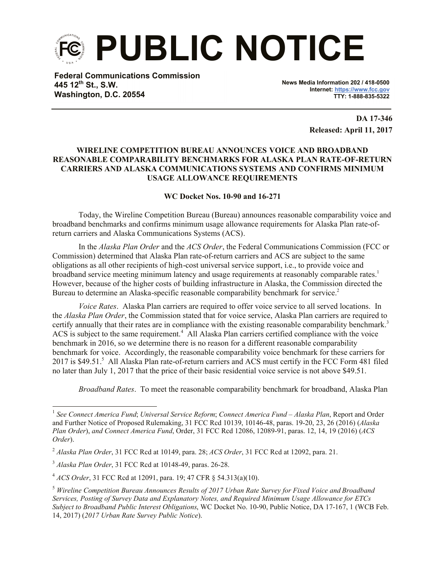

**Federal Communications Commission 445 12th St., S.W. Washington, D.C. 20554**

**News Media Information 202 / 418-0500 Internet: https://www.fcc.gov TTY: 1-888-835-5322**

> **DA 17-346 Released: April 11, 2017**

## **WIRELINE COMPETITION BUREAU ANNOUNCES VOICE AND BROADBAND REASONABLE COMPARABILITY BENCHMARKS FOR ALASKA PLAN RATE-OF-RETURN CARRIERS AND ALASKA COMMUNICATIONS SYSTEMS AND CONFIRMS MINIMUM USAGE ALLOWANCE REQUIREMENTS**

## **WC Docket Nos. 10-90 and 16-271**

Today, the Wireline Competition Bureau (Bureau) announces reasonable comparability voice and broadband benchmarks and confirms minimum usage allowance requirements for Alaska Plan rate-ofreturn carriers and Alaska Communications Systems (ACS).

In the *Alaska Plan Order* and the *ACS Order*, the Federal Communications Commission (FCC or Commission) determined that Alaska Plan rate-of-return carriers and ACS are subject to the same obligations as all other recipients of high-cost universal service support, i.e., to provide voice and broadband service meeting minimum latency and usage requirements at reasonably comparable rates.<sup>1</sup> However, because of the higher costs of building infrastructure in Alaska, the Commission directed the Bureau to determine an Alaska-specific reasonable comparability benchmark for service.<sup>2</sup>

*Voice Rates*. Alaska Plan carriers are required to offer voice service to all served locations. In the *Alaska Plan Order*, the Commission stated that for voice service, Alaska Plan carriers are required to certify annually that their rates are in compliance with the existing reasonable comparability benchmark.<sup>3</sup> ACS is subject to the same requirement.<sup>4</sup> All Alaska Plan carriers certified compliance with the voice benchmark in 2016, so we determine there is no reason for a different reasonable comparability benchmark for voice. Accordingly, the reasonable comparability voice benchmark for these carriers for 2017 is \$49.51.<sup>5</sup> All Alaska Plan rate-of-return carriers and ACS must certify in the FCC Form 481 filed no later than July 1, 2017 that the price of their basic residential voice service is not above \$49.51.

*Broadband Rates*. To meet the reasonable comparability benchmark for broadband, Alaska Plan

<sup>1</sup> *See Connect America Fund*; *Universal Service Reform*; *Connect America Fund – Alaska Plan*, Report and Order and Further Notice of Proposed Rulemaking, 31 FCC Rcd 10139, 10146-48, paras. 19-20, 23, 26 (2016) (*Alaska Plan Order*), *and Connect America Fund*, Order, 31 FCC Rcd 12086, 12089-91, paras. 12, 14, 19 (2016) (*ACS Order*).

<sup>2</sup> *Alaska Plan Order*, 31 FCC Rcd at 10149, para. 28; *ACS Order*, 31 FCC Rcd at 12092, para. 21.

<sup>3</sup> *Alaska Plan Order*, 31 FCC Rcd at 10148-49, paras. 26-28.

<sup>4</sup> *ACS Order*, 31 FCC Rcd at 12091, para. 19; 47 CFR § 54.313(a)(10).

<sup>5</sup> *Wireline Competition Bureau Announces Results of 2017 Urban Rate Survey for Fixed Voice and Broadband Services, Posting of Survey Data and Explanatory Notes, and Required Minimum Usage Allowance for ETCs Subject to Broadband Public Interest Obligations*, WC Docket No. 10-90, Public Notice, DA 17-167, 1 (WCB Feb. 14, 2017) (*2017 Urban Rate Survey Public Notice*).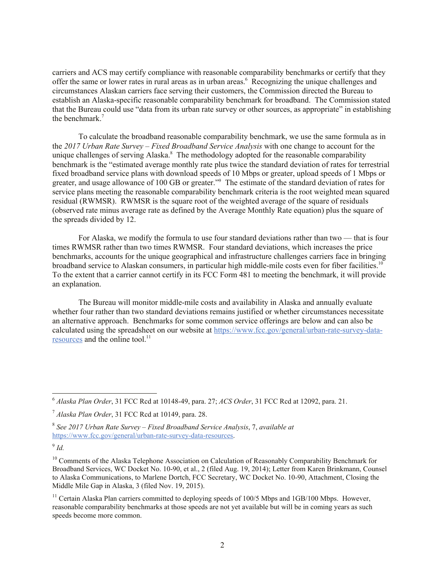carriers and ACS may certify compliance with reasonable comparability benchmarks or certify that they offer the same or lower rates in rural areas as in urban areas.<sup>6</sup> Recognizing the unique challenges and circumstances Alaskan carriers face serving their customers, the Commission directed the Bureau to establish an Alaska-specific reasonable comparability benchmark for broadband. The Commission stated that the Bureau could use "data from its urban rate survey or other sources, as appropriate" in establishing the benchmark.<sup>7</sup>

To calculate the broadband reasonable comparability benchmark, we use the same formula as in the *2017 Urban Rate Survey – Fixed Broadband Service Analysis* with one change to account for the unique challenges of serving Alaska.<sup>8</sup> The methodology adopted for the reasonable comparability benchmark is the "estimated average monthly rate plus twice the standard deviation of rates for terrestrial fixed broadband service plans with download speeds of 10 Mbps or greater, upload speeds of 1 Mbps or greater, and usage allowance of 100 GB or greater."<sup>9</sup> The estimate of the standard deviation of rates for service plans meeting the reasonable comparability benchmark criteria is the root weighted mean squared residual (RWMSR). RWMSR is the square root of the weighted average of the square of residuals (observed rate minus average rate as defined by the Average Monthly Rate equation) plus the square of the spreads divided by 12.

For Alaska, we modify the formula to use four standard deviations rather than two — that is four times RWMSR rather than two times RWMSR. Four standard deviations, which increases the price benchmarks, accounts for the unique geographical and infrastructure challenges carriers face in bringing broadband service to Alaskan consumers, in particular high middle-mile costs even for fiber facilities.<sup>10</sup> To the extent that a carrier cannot certify in its FCC Form 481 to meeting the benchmark, it will provide an explanation.

The Bureau will monitor middle-mile costs and availability in Alaska and annually evaluate whether four rather than two standard deviations remains justified or whether circumstances necessitate an alternative approach. Benchmarks for some common service offerings are below and can also be calculated using the spreadsheet on our website at https://www.fcc.gov/general/urban-rate-survey-dataresources and the online tool.<sup>11</sup>

<sup>6</sup> *Alaska Plan Order*, 31 FCC Rcd at 10148-49, para. 27; *ACS Order*, 31 FCC Rcd at 12092, para. 21.

<sup>7</sup> *Alaska Plan Order*, 31 FCC Rcd at 10149, para. 28.

<sup>8</sup> *See 2017 Urban Rate Survey – Fixed Broadband Service Analysis*, 7, *available at*  https://www.fcc.gov/general/urban-rate-survey-data-resources.

<sup>9</sup> *Id.*

<sup>&</sup>lt;sup>10</sup> Comments of the Alaska Telephone Association on Calculation of Reasonably Comparability Benchmark for Broadband Services, WC Docket No. 10-90, et al., 2 (filed Aug. 19, 2014); Letter from Karen Brinkmann, Counsel to Alaska Communications, to Marlene Dortch, FCC Secretary, WC Docket No. 10-90, Attachment, Closing the Middle Mile Gap in Alaska, 3 (filed Nov. 19, 2015).

 $11$  Certain Alaska Plan carriers committed to deploying speeds of 100/5 Mbps and 1GB/100 Mbps. However, reasonable comparability benchmarks at those speeds are not yet available but will be in coming years as such speeds become more common.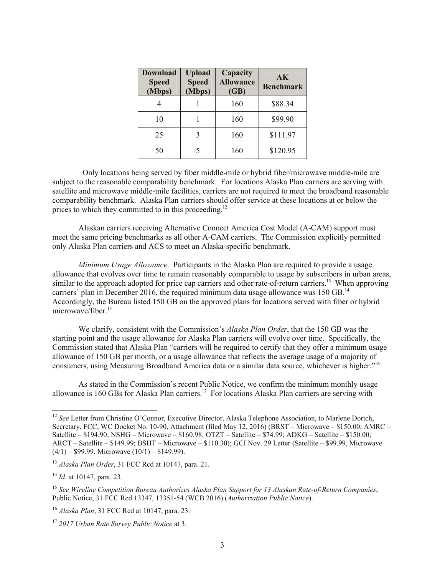| <b>Download</b><br><b>Speed</b><br>(Mbps) | <b>Upload</b><br><b>Speed</b><br>(Mbps) | Capacity<br><b>Allowance</b><br>(GB) | AK<br><b>Benchmark</b> |
|-------------------------------------------|-----------------------------------------|--------------------------------------|------------------------|
|                                           |                                         | 160                                  | \$88.34                |
| 10                                        |                                         | 160                                  | \$99.90                |
| 25                                        |                                         | 160                                  | \$111.97               |
| 50                                        |                                         | 160                                  | \$120.95               |

 Only locations being served by fiber middle-mile or hybrid fiber/microwave middle-mile are subject to the reasonable comparability benchmark. For locations Alaska Plan carriers are serving with satellite and microwave middle-mile facilities, carriers are not required to meet the broadband reasonable comparability benchmark. Alaska Plan carriers should offer service at these locations at or below the prices to which they committed to in this proceeding.<sup>12</sup>

Alaskan carriers receiving Alternative Connect America Cost Model (A-CAM) support must meet the same pricing benchmarks as all other A-CAM carriers. The Commission explicitly permitted only Alaska Plan carriers and ACS to meet an Alaska-specific benchmark.

*Minimum Usage Allowance*. Participants in the Alaska Plan are required to provide a usage allowance that evolves over time to remain reasonably comparable to usage by subscribers in urban areas, similar to the approach adopted for price cap carriers and other rate-of-return carriers.<sup>13</sup> When approving carriers' plan in December 2016, the required minimum data usage allowance was  $150$  GB.<sup>14</sup> Accordingly, the Bureau listed 150 GB on the approved plans for locations served with fiber or hybrid microwave/fiber. 15

We clarify, consistent with the Commission's *Alaska Plan Order*, that the 150 GB was the starting point and the usage allowance for Alaska Plan carriers will evolve over time. Specifically, the Commission stated that Alaska Plan "carriers will be required to certify that they offer a minimum usage allowance of 150 GB per month, or a usage allowance that reflects the average usage of a majority of consumers, using Measuring Broadband America data or a similar data source, whichever is higher." 16

As stated in the Commission's recent Public Notice, we confirm the minimum monthly usage allowance is 160 GBs for Alaska Plan carriers.<sup>17</sup> For locations Alaska Plan carriers are serving with

<sup>&</sup>lt;sup>12</sup> See Letter from Christine O'Connor, Executive Director, Alaska Telephone Association, to Marlene Dortch, Secretary, FCC, WC Docket No. 10-90, Attachment (filed May 12, 2016) (BRST – Microwave – \$150.00; AMRC – Satellite – \$194.90; NSHG – Microwave – \$160.98; OTZT – Satellite – \$74.99; ADKG – Satellite – \$150.00; ARCT – Satellite – \$149.99; BSHT – Microwave – \$110.30); GCI Nov. 29 Letter (Satellite – \$99.99, Microwave  $(4/1)$  – \$99.99, Microwave  $(10/1)$  – \$149.99).

<sup>13</sup> *Alaska Plan Order*, 31 FCC Rcd at 10147, para. 21.

<sup>14</sup> *Id*. at 10147, para. 23.

<sup>15</sup> *See Wireline Competition Bureau Authorizes Alaska Plan Support for 13 Alaskan Rate-of-Return Companies*, Public Notice, 31 FCC Rcd 13347, 13351-54 (WCB 2016) (*Authorization Public Notice*).

<sup>16</sup> *Alaska Plan*, 31 FCC Rcd at 10147, para. 23.

<sup>17</sup> *2017 Urban Rate Survey Public Notice* at 3.